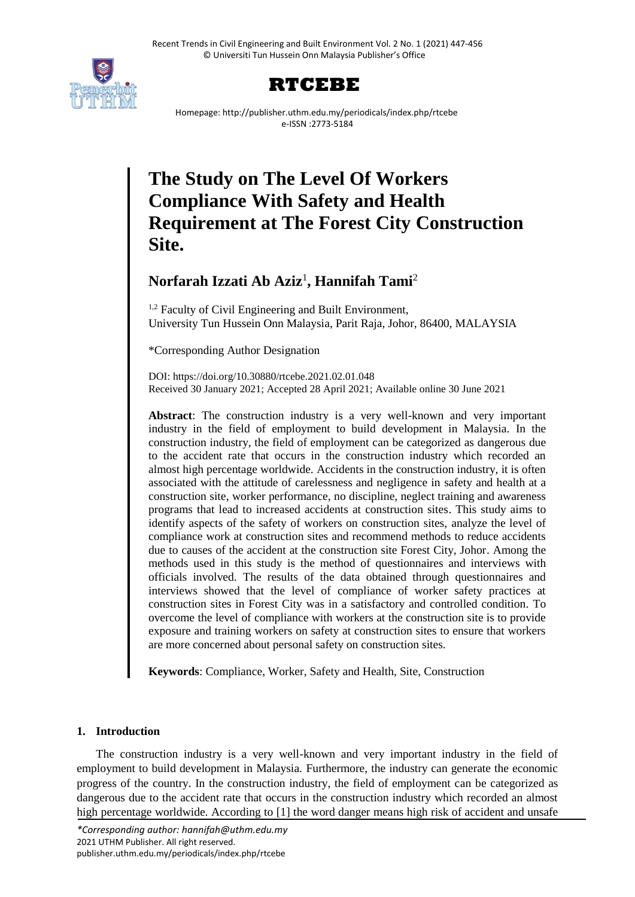



Homepage: http://publisher.uthm.edu.my/periodicals/index.php/rtcebe e-ISSN :2773-5184

# **The Study on The Level Of Workers Compliance With Safety and Health Requirement at The Forest City Construction Site.**

# **Norfarah Izzati Ab Aziz**<sup>1</sup> **, Hannifah Tami**<sup>2</sup>

<sup>1,2</sup> Faculty of Civil Engineering and Built Environment, University Tun Hussein Onn Malaysia, Parit Raja, Johor, 86400, MALAYSIA

\*Corresponding Author Designation

DOI: https://doi.org/10.30880/rtcebe.2021.02.01.048 Received 30 January 2021; Accepted 28 April 2021; Available online 30 June 2021

**Abstract**: The construction industry is a very well-known and very important industry in the field of employment to build development in Malaysia. In the construction industry, the field of employment can be categorized as dangerous due to the accident rate that occurs in the construction industry which recorded an almost high percentage worldwide. Accidents in the construction industry, it is often associated with the attitude of carelessness and negligence in safety and health at a construction site, worker performance, no discipline, neglect training and awareness programs that lead to increased accidents at construction sites. This study aims to identify aspects of the safety of workers on construction sites, analyze the level of compliance work at construction sites and recommend methods to reduce accidents due to causes of the accident at the construction site Forest City, Johor. Among the methods used in this study is the method of questionnaires and interviews with officials involved. The results of the data obtained through questionnaires and interviews showed that the level of compliance of worker safety practices at construction sites in Forest City was in a satisfactory and controlled condition. To overcome the level of compliance with workers at the construction site is to provide exposure and training workers on safety at construction sites to ensure that workers are more concerned about personal safety on construction sites.

**Keywords**: Compliance, Worker, Safety and Health, Site, Construction

# **1. Introduction**

The construction industry is a very well-known and very important industry in the field of employment to build development in Malaysia. Furthermore, the industry can generate the economic progress of the country. In the construction industry, the field of employment can be categorized as dangerous due to the accident rate that occurs in the construction industry which recorded an almost high percentage worldwide. According to [1] the word danger means high risk of accident and unsafe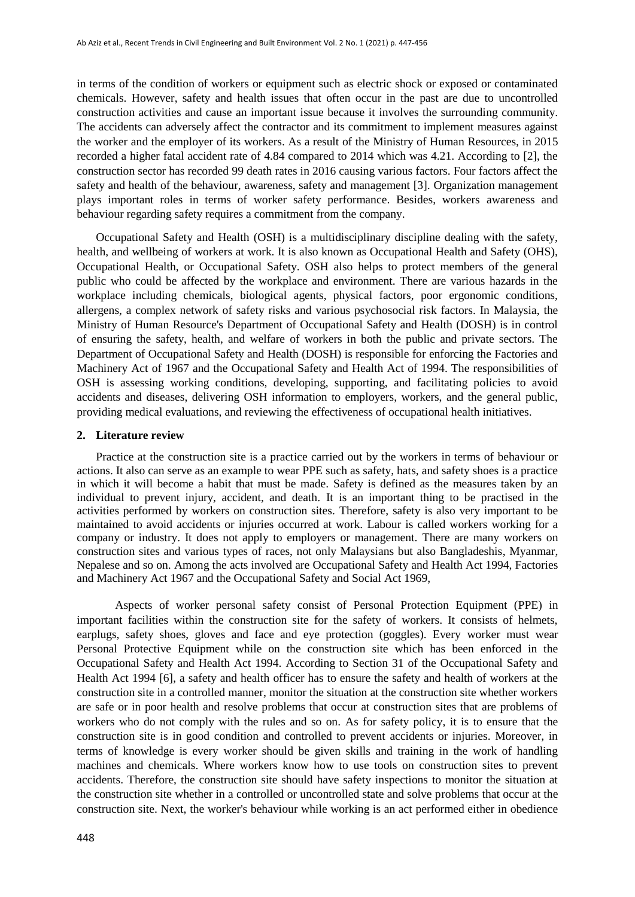in terms of the condition of workers or equipment such as electric shock or exposed or contaminated chemicals. However, safety and health issues that often occur in the past are due to uncontrolled construction activities and cause an important issue because it involves the surrounding community. The accidents can adversely affect the contractor and its commitment to implement measures against the worker and the employer of its workers. As a result of the Ministry of Human Resources, in 2015 recorded a higher fatal accident rate of 4.84 compared to 2014 which was 4.21. According to [2], the construction sector has recorded 99 death rates in 2016 causing various factors. Four factors affect the safety and health of the behaviour, awareness, safety and management [3]. Organization management plays important roles in terms of worker safety performance. Besides, workers awareness and behaviour regarding safety requires a commitment from the company.

Occupational Safety and Health (OSH) is a multidisciplinary discipline dealing with the safety, health, and wellbeing of workers at work. It is also known as Occupational Health and Safety (OHS), Occupational Health, or Occupational Safety. OSH also helps to protect members of the general public who could be affected by the workplace and environment. There are various hazards in the workplace including chemicals, biological agents, physical factors, poor ergonomic conditions, allergens, a complex network of safety risks and various psychosocial risk factors. In Malaysia, the Ministry of Human Resource's Department of Occupational Safety and Health (DOSH) is in control of ensuring the safety, health, and welfare of workers in both the public and private sectors. The Department of Occupational Safety and Health (DOSH) is responsible for enforcing the Factories and Machinery Act of 1967 and the Occupational Safety and Health Act of 1994. The responsibilities of OSH is assessing working conditions, developing, supporting, and facilitating policies to avoid accidents and diseases, delivering OSH information to employers, workers, and the general public, providing medical evaluations, and reviewing the effectiveness of occupational health initiatives.

#### **2. Literature review**

Practice at the construction site is a practice carried out by the workers in terms of behaviour or actions. It also can serve as an example to wear PPE such as safety, hats, and safety shoes is a practice in which it will become a habit that must be made. Safety is defined as the measures taken by an individual to prevent injury, accident, and death. It is an important thing to be practised in the activities performed by workers on construction sites. Therefore, safety is also very important to be maintained to avoid accidents or injuries occurred at work. Labour is called workers working for a company or industry. It does not apply to employers or management. There are many workers on construction sites and various types of races, not only Malaysians but also Bangladeshis, Myanmar, Nepalese and so on. Among the acts involved are Occupational Safety and Health Act 1994, Factories and Machinery Act 1967 and the Occupational Safety and Social Act 1969,

Aspects of worker personal safety consist of Personal Protection Equipment (PPE) in important facilities within the construction site for the safety of workers. It consists of helmets, earplugs, safety shoes, gloves and face and eye protection (goggles). Every worker must wear Personal Protective Equipment while on the construction site which has been enforced in the Occupational Safety and Health Act 1994. According to Section 31 of the Occupational Safety and Health Act 1994 [6], a safety and health officer has to ensure the safety and health of workers at the construction site in a controlled manner, monitor the situation at the construction site whether workers are safe or in poor health and resolve problems that occur at construction sites that are problems of workers who do not comply with the rules and so on. As for safety policy, it is to ensure that the construction site is in good condition and controlled to prevent accidents or injuries. Moreover, in terms of knowledge is every worker should be given skills and training in the work of handling machines and chemicals. Where workers know how to use tools on construction sites to prevent accidents. Therefore, the construction site should have safety inspections to monitor the situation at the construction site whether in a controlled or uncontrolled state and solve problems that occur at the construction site. Next, the worker's behaviour while working is an act performed either in obedience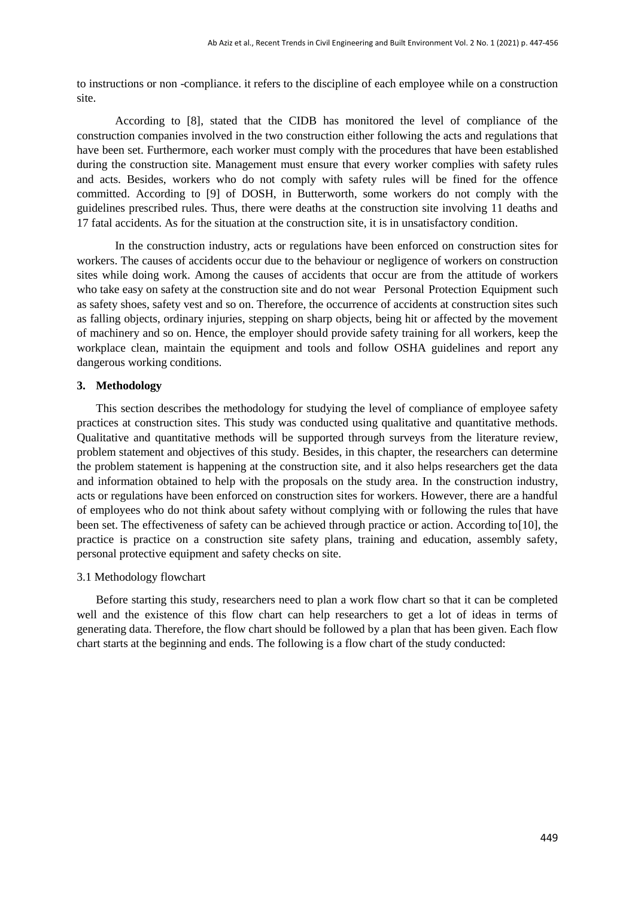to instructions or non -compliance. it refers to the discipline of each employee while on a construction site.

According to [8], stated that the CIDB has monitored the level of compliance of the construction companies involved in the two construction either following the acts and regulations that have been set. Furthermore, each worker must comply with the procedures that have been established during the construction site. Management must ensure that every worker complies with safety rules and acts. Besides, workers who do not comply with safety rules will be fined for the offence committed. According to [9] of DOSH, in Butterworth, some workers do not comply with the guidelines prescribed rules. Thus, there were deaths at the construction site involving 11 deaths and 17 fatal accidents. As for the situation at the construction site, it is in unsatisfactory condition.

In the construction industry, acts or regulations have been enforced on construction sites for workers. The causes of accidents occur due to the behaviour or negligence of workers on construction sites while doing work. Among the causes of accidents that occur are from the attitude of workers who take easy on safety at the construction site and do not wear Personal Protection Equipment such as safety shoes, safety vest and so on. Therefore, the occurrence of accidents at construction sites such as falling objects, ordinary injuries, stepping on sharp objects, being hit or affected by the movement of machinery and so on. Hence, the employer should provide safety training for all workers, keep the workplace clean, maintain the equipment and tools and follow OSHA guidelines and report any dangerous working conditions.

# **3. Methodology**

This section describes the methodology for studying the level of compliance of employee safety practices at construction sites. This study was conducted using qualitative and quantitative methods. Qualitative and quantitative methods will be supported through surveys from the literature review, problem statement and objectives of this study. Besides, in this chapter, the researchers can determine the problem statement is happening at the construction site, and it also helps researchers get the data and information obtained to help with the proposals on the study area. In the construction industry, acts or regulations have been enforced on construction sites for workers. However, there are a handful of employees who do not think about safety without complying with or following the rules that have been set. The effectiveness of safety can be achieved through practice or action. According to[10], the practice is practice on a construction site safety plans, training and education, assembly safety, personal protective equipment and safety checks on site.

#### 3.1 Methodology flowchart

Before starting this study, researchers need to plan a work flow chart so that it can be completed well and the existence of this flow chart can help researchers to get a lot of ideas in terms of generating data. Therefore, the flow chart should be followed by a plan that has been given. Each flow chart starts at the beginning and ends. The following is a flow chart of the study conducted: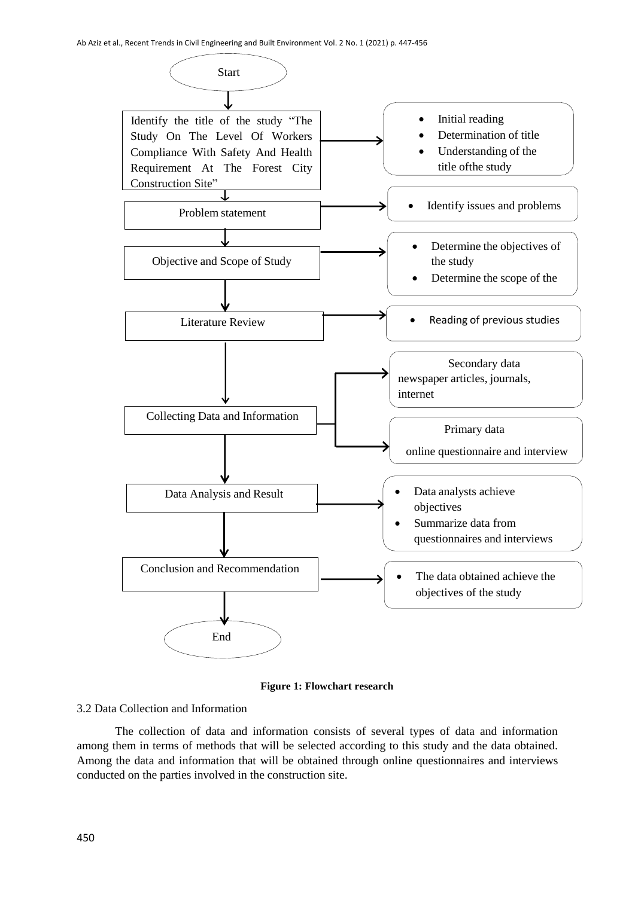

**Figure 1: Flowchart research**

# 3.2 Data Collection and Information

The collection of data and information consists of several types of data and information among them in terms of methods that will be selected according to this study and the data obtained. Among the data and information that will be obtained through online questionnaires and interviews conducted on the parties involved in the construction site.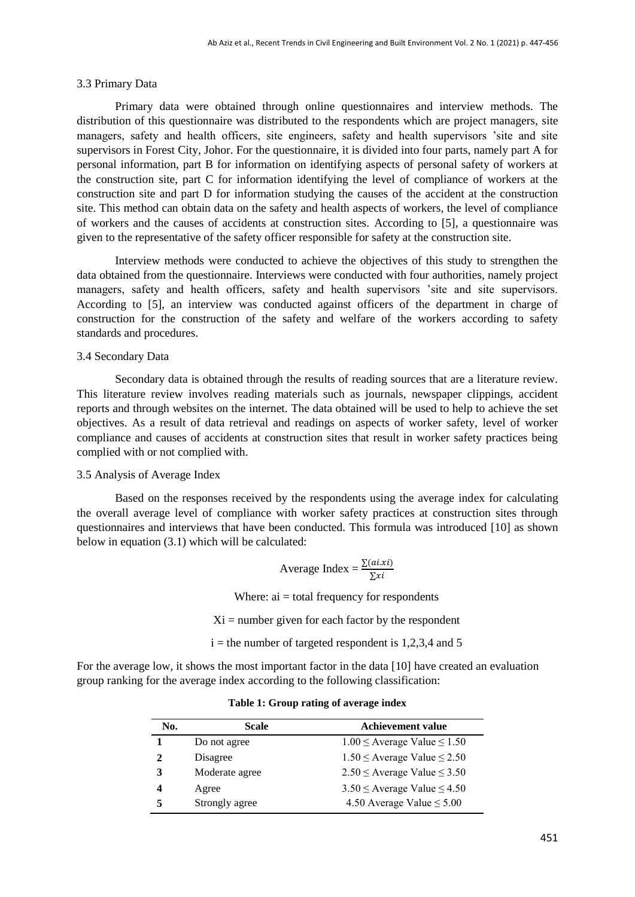## 3.3 Primary Data

Primary data were obtained through online questionnaires and interview methods. The distribution of this questionnaire was distributed to the respondents which are project managers, site managers, safety and health officers, site engineers, safety and health supervisors 'site and site supervisors in Forest City, Johor. For the questionnaire, it is divided into four parts, namely part A for personal information, part B for information on identifying aspects of personal safety of workers at the construction site, part C for information identifying the level of compliance of workers at the construction site and part D for information studying the causes of the accident at the construction site. This method can obtain data on the safety and health aspects of workers, the level of compliance of workers and the causes of accidents at construction sites. According to [5], a questionnaire was given to the representative of the safety officer responsible for safety at the construction site.

Interview methods were conducted to achieve the objectives of this study to strengthen the data obtained from the questionnaire. Interviews were conducted with four authorities, namely project managers, safety and health officers, safety and health supervisors 'site and site supervisors. According to [5], an interview was conducted against officers of the department in charge of construction for the construction of the safety and welfare of the workers according to safety standards and procedures.

# 3.4 Secondary Data

Secondary data is obtained through the results of reading sources that are a literature review. This literature review involves reading materials such as journals, newspaper clippings, accident reports and through websites on the internet. The data obtained will be used to help to achieve the set objectives. As a result of data retrieval and readings on aspects of worker safety, level of worker compliance and causes of accidents at construction sites that result in worker safety practices being complied with or not complied with.

#### 3.5 Analysis of Average Index

Based on the responses received by the respondents using the average index for calculating the overall average level of compliance with worker safety practices at construction sites through questionnaires and interviews that have been conducted. This formula was introduced [10] as shown below in equation (3.1) which will be calculated:

Average Index = 
$$
\frac{\sum (ai. xi)}{\sum xi}
$$

Where:  $ai = total frequency for respondents$ 

 $Xi =$  number given for each factor by the respondent

 $i =$  the number of targeted respondent is 1,2,3,4 and 5

For the average low, it shows the most important factor in the data [10] have created an evaluation group ranking for the average index according to the following classification:

| No.         | Scale          | <b>Achievement value</b>              |
|-------------|----------------|---------------------------------------|
|             | Do not agree   | $1.00 \leq$ Average Value $\leq 1.50$ |
| $\mathbf 2$ | Disagree       | $1.50 \le$ Average Value $\le$ 2.50   |
| 3           | Moderate agree | $2.50 \le$ Average Value $\le$ 3.50   |
| 4           | Agree          | $3.50 \leq$ Average Value $\leq 4.50$ |
| 5           | Strongly agree | 4.50 Average Value $\leq 5.00$        |

**Table 1: Group rating of average index**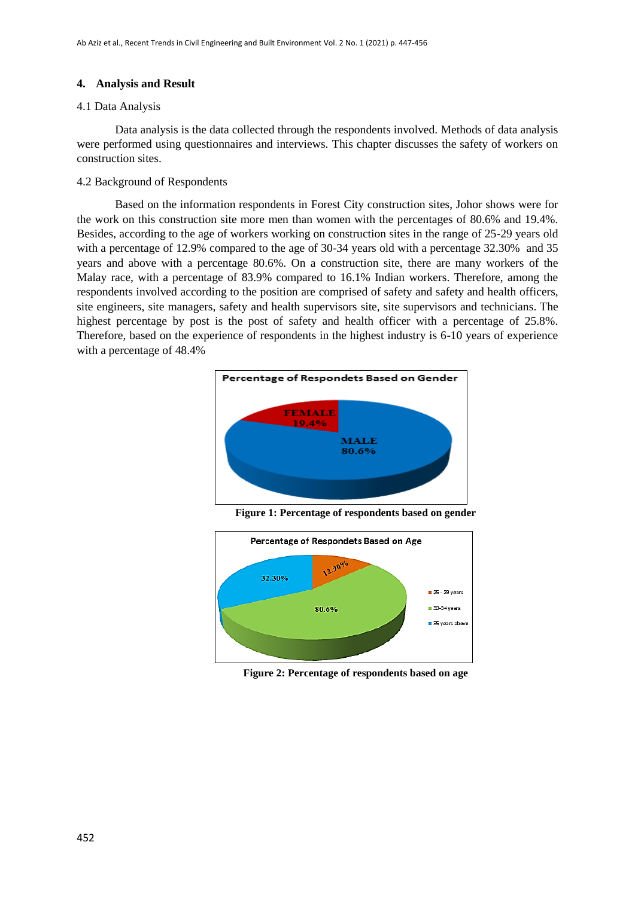# **4. Analysis and Result**

# 4.1 Data Analysis

Data analysis is the data collected through the respondents involved. Methods of data analysis were performed using questionnaires and interviews. This chapter discusses the safety of workers on construction sites.

# 4.2 Background of Respondents

Based on the information respondents in Forest City construction sites, Johor shows were for the work on this construction site more men than women with the percentages of 80.6% and 19.4%. Besides, according to the age of workers working on construction sites in the range of 25-29 years old with a percentage of 12.9% compared to the age of 30-34 years old with a percentage 32.30% and 35 years and above with a percentage 80.6%. On a construction site, there are many workers of the Malay race, with a percentage of 83.9% compared to 16.1% Indian workers. Therefore, among the respondents involved according to the position are comprised of safety and safety and health officers, site engineers, site managers, safety and health supervisors site, site supervisors and technicians. The highest percentage by post is the post of safety and health officer with a percentage of 25.8%. Therefore, based on the experience of respondents in the highest industry is 6-10 years of experience with a percentage of 48.4%



**Figure 1: Percentage of respondents based on gender**



**Figure 2: Percentage of respondents based on age**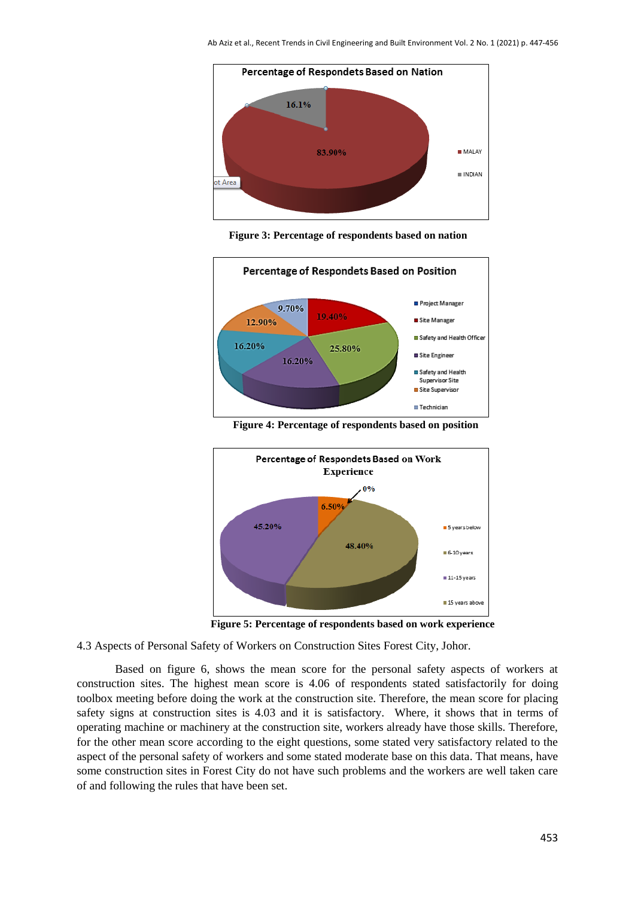

**Figure 3: Percentage of respondents based on nation**



Percentage of Respondets Based on Work Experience  $0%$  $6.50<sup>o</sup>$ 45.20% 5 years below 48 40% 6-10 years  $11-15$  years 15 years above

**Figure 4: Percentage of respondents based on position**

 **Figure 5: Percentage of respondents based on work experience**

4.3 Aspects of Personal Safety of Workers on Construction Sites Forest City, Johor.

Based on figure 6, shows the mean score for the personal safety aspects of workers at construction sites. The highest mean score is 4.06 of respondents stated satisfactorily for doing toolbox meeting before doing the work at the construction site. Therefore, the mean score for placing safety signs at construction sites is 4.03 and it is satisfactory. Where, it shows that in terms of operating machine or machinery at the construction site, workers already have those skills. Therefore, for the other mean score according to the eight questions, some stated very satisfactory related to the aspect of the personal safety of workers and some stated moderate base on this data. That means, have some construction sites in Forest City do not have such problems and the workers are well taken care of and following the rules that have been set.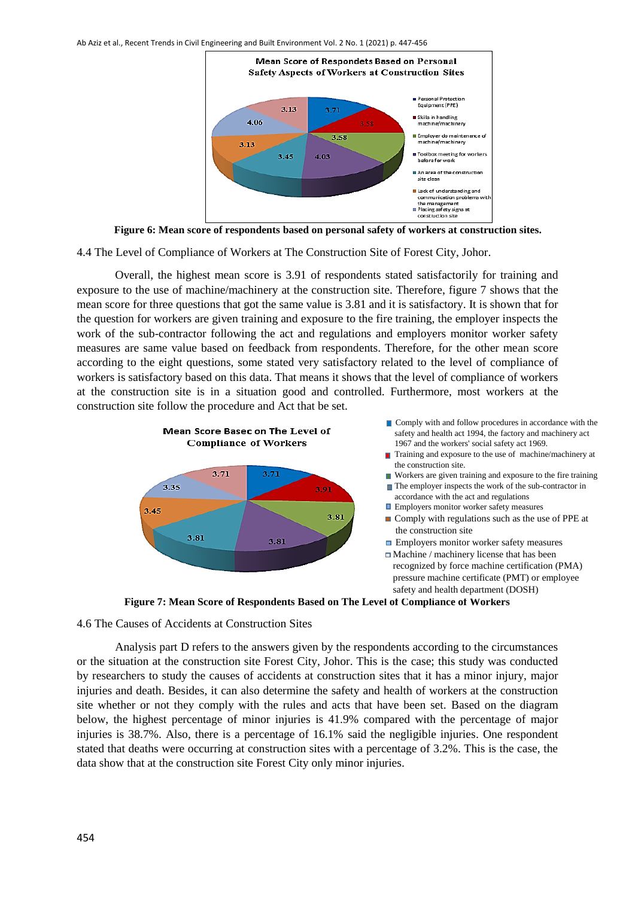

 **Figure 6: Mean score of respondents based on personal safety of workers at construction sites.**

4.4 The Level of Compliance of Workers at The Construction Site of Forest City, Johor.

Overall, the highest mean score is 3.91 of respondents stated satisfactorily for training and exposure to the use of machine/machinery at the construction site. Therefore, figure 7 shows that the mean score for three questions that got the same value is 3.81 and it is satisfactory. It is shown that for the question for workers are given training and exposure to the fire training, the employer inspects the work of the sub-contractor following the act and regulations and employers monitor worker safety measures are same value based on feedback from respondents. Therefore, for the other mean score according to the eight questions, some stated very satisfactory related to the level of compliance of workers is satisfactory based on this data. That means it shows that the level of compliance of workers at the construction site is in a situation good and controlled. Furthermore, most workers at the construction site follow the procedure and Act that be set.





- Training and exposure to the use of machine/machinery at the construction site.
- Workers are given training and exposure to the fire training
- The employer inspects the work of the sub-contractor in accordance with the act and regulations
- **Employers monitor worker safety measures**
- Comply with regulations such as the use of PPE at the construction site
- **Employers monitor worker safety measures**
- $\Box$  Machine / machinery license that has been recognized by force machine certification (PMA) pressure machine certificate (PMT) or employee safety and health department (DOSH)



4.6 The Causes of Accidents at Construction Sites

Analysis part D refers to the answers given by the respondents according to the circumstances or the situation at the construction site Forest City, Johor. This is the case; this study was conducted by researchers to study the causes of accidents at construction sites that it has a minor injury, major injuries and death. Besides, it can also determine the safety and health of workers at the construction site whether or not they comply with the rules and acts that have been set. Based on the diagram below, the highest percentage of minor injuries is 41.9% compared with the percentage of major injuries is 38.7%. Also, there is a percentage of 16.1% said the negligible injuries. One respondent stated that deaths were occurring at construction sites with a percentage of 3.2%. This is the case, the data show that at the construction site Forest City only minor injuries.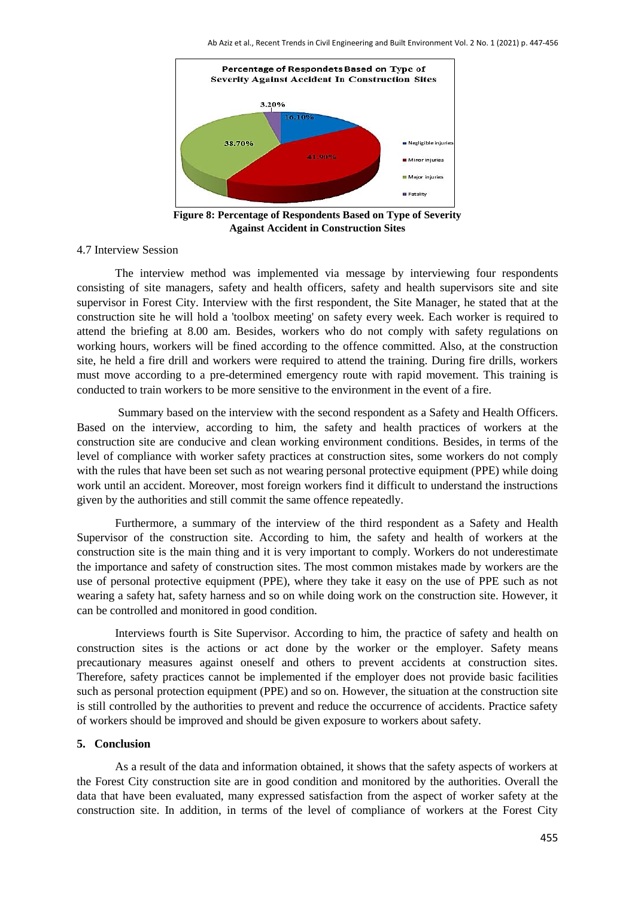

**Figure 8: Percentage of Respondents Based on Type of Severity Against Accident in Construction Sites**

# 4.7 Interview Session

The interview method was implemented via message by interviewing four respondents consisting of site managers, safety and health officers, safety and health supervisors site and site supervisor in Forest City. Interview with the first respondent, the Site Manager, he stated that at the construction site he will hold a 'toolbox meeting' on safety every week. Each worker is required to attend the briefing at 8.00 am. Besides, workers who do not comply with safety regulations on working hours, workers will be fined according to the offence committed. Also, at the construction site, he held a fire drill and workers were required to attend the training. During fire drills, workers must move according to a pre-determined emergency route with rapid movement. This training is conducted to train workers to be more sensitive to the environment in the event of a fire.

Summary based on the interview with the second respondent as a Safety and Health Officers. Based on the interview, according to him, the safety and health practices of workers at the construction site are conducive and clean working environment conditions. Besides, in terms of the level of compliance with worker safety practices at construction sites, some workers do not comply with the rules that have been set such as not wearing personal protective equipment (PPE) while doing work until an accident. Moreover, most foreign workers find it difficult to understand the instructions given by the authorities and still commit the same offence repeatedly.

Furthermore, a summary of the interview of the third respondent as a Safety and Health Supervisor of the construction site. According to him, the safety and health of workers at the construction site is the main thing and it is very important to comply. Workers do not underestimate the importance and safety of construction sites. The most common mistakes made by workers are the use of personal protective equipment (PPE), where they take it easy on the use of PPE such as not wearing a safety hat, safety harness and so on while doing work on the construction site. However, it can be controlled and monitored in good condition.

Interviews fourth is Site Supervisor. According to him, the practice of safety and health on construction sites is the actions or act done by the worker or the employer. Safety means precautionary measures against oneself and others to prevent accidents at construction sites. Therefore, safety practices cannot be implemented if the employer does not provide basic facilities such as personal protection equipment (PPE) and so on. However, the situation at the construction site is still controlled by the authorities to prevent and reduce the occurrence of accidents. Practice safety of workers should be improved and should be given exposure to workers about safety.

#### **5. Conclusion**

As a result of the data and information obtained, it shows that the safety aspects of workers at the Forest City construction site are in good condition and monitored by the authorities. Overall the data that have been evaluated, many expressed satisfaction from the aspect of worker safety at the construction site. In addition, in terms of the level of compliance of workers at the Forest City